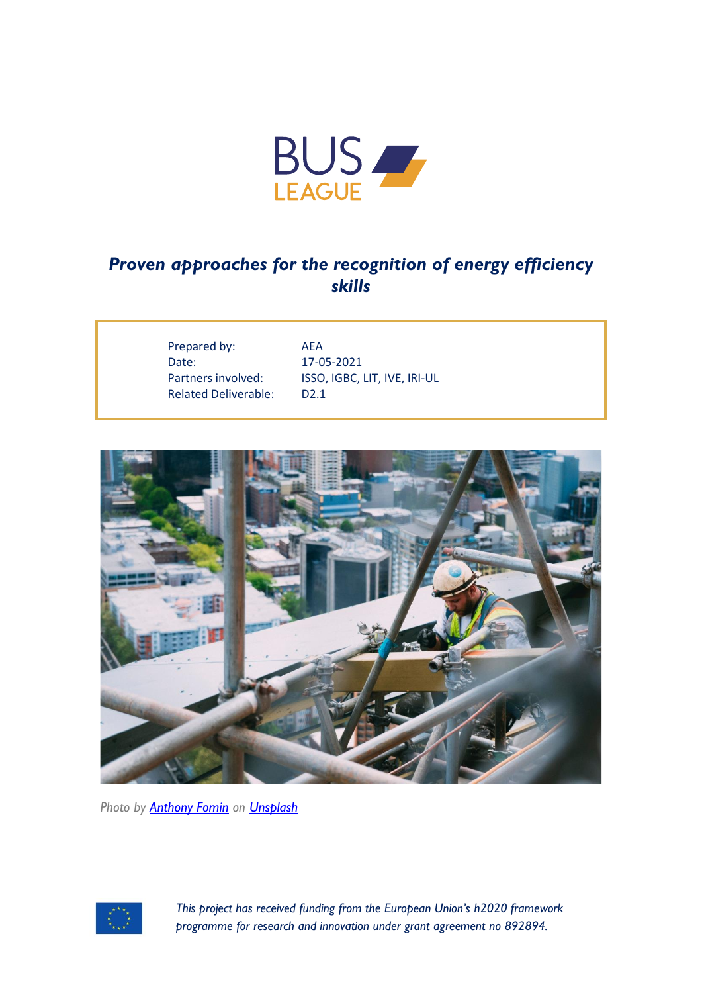

## *Proven approaches for the recognition of energy efficiency skills*

Prepared by: AEA Date: 17-05-2021 Related Deliverable: D2.1

Partners involved: ISSO, IGBC, LIT, IVE, IRI-UL



*Photo by [Anthony Fomin](https://unsplash.com/@aginsbrook?utm_source=unsplash&utm_medium=referral&utm_content=creditCopyText) on [Unsplash](https://unsplash.com/)*



*This project has received funding from the European Union's h2020 framework programme for research and innovation under grant agreement no 892894.*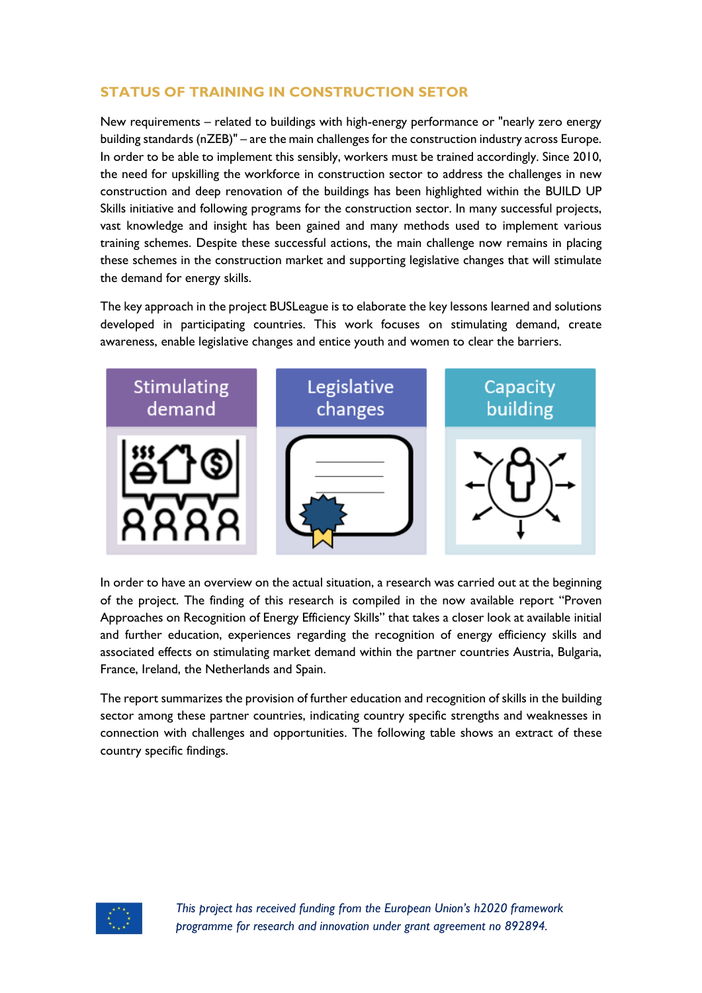## **STATUS OF TRAINING IN CONSTRUCTION SETOR**

New requirements – related to buildings with high-energy performance or "nearly zero energy building standards (nZEB)" – are the main challenges for the construction industry across Europe. In order to be able to implement this sensibly, workers must be trained accordingly. Since 2010, the need for upskilling the workforce in construction sector to address the challenges in new construction and deep renovation of the buildings has been highlighted within the BUILD UP Skills initiative and following programs for the construction sector. In many successful projects, vast knowledge and insight has been gained and many methods used to implement various training schemes. Despite these successful actions, the main challenge now remains in placing these schemes in the construction market and supporting legislative changes that will stimulate the demand for energy skills.

The key approach in the project BUSLeague is to elaborate the key lessons learned and solutions developed in participating countries. This work focuses on stimulating demand, create awareness, enable legislative changes and entice youth and women to clear the barriers.



In order to have an overview on the actual situation, a research was carried out at the beginning of the project. The finding of this research is compiled in the now available report "Proven Approaches on Recognition of Energy Efficiency Skills" that takes a closer look at available initial and further education, experiences regarding the recognition of energy efficiency skills and associated effects on stimulating market demand within the partner countries Austria, Bulgaria, France, Ireland, the Netherlands and Spain.

The report summarizes the provision of further education and recognition of skills in the building sector among these partner countries, indicating country specific strengths and weaknesses in connection with challenges and opportunities. The following table shows an extract of these country specific findings.

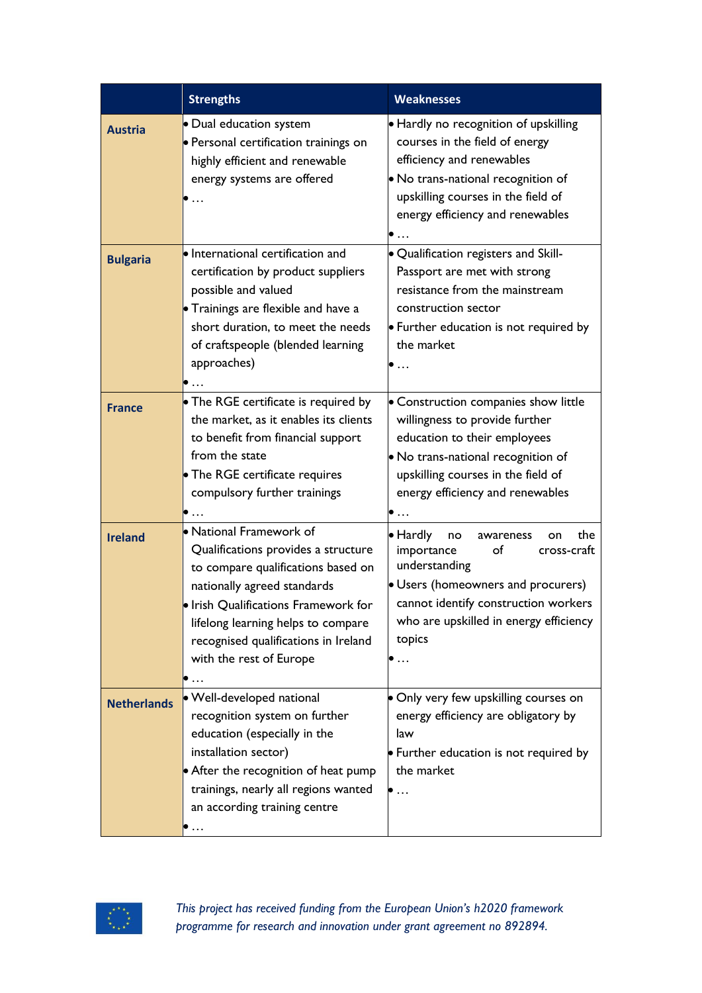|                    | <b>Strengths</b>                                                                                                                                                                                                                                                                     | <b>Weaknesses</b>                                                                                                                                                                                                                                    |
|--------------------|--------------------------------------------------------------------------------------------------------------------------------------------------------------------------------------------------------------------------------------------------------------------------------------|------------------------------------------------------------------------------------------------------------------------------------------------------------------------------------------------------------------------------------------------------|
| <b>Austria</b>     | · Dual education system<br>· Personal certification trainings on<br>highly efficient and renewable<br>energy systems are offered<br>$\ddots$                                                                                                                                         | • Hardly no recognition of upskilling<br>courses in the field of energy<br>efficiency and renewables<br>• No trans-national recognition of<br>upskilling courses in the field of<br>energy efficiency and renewables                                 |
| <b>Bulgaria</b>    | · International certification and<br>certification by product suppliers<br>possible and valued<br>• Trainings are flexible and have a<br>short duration, to meet the needs<br>of craftspeople (blended learning<br>approaches)<br>$\bullet$ $\ldots$                                 | · Qualification registers and Skill-<br>Passport are met with strong<br>resistance from the mainstream<br>construction sector<br>• Further education is not required by<br>the market<br>$\bullet$                                                   |
| <b>France</b>      | • The RGE certificate is required by<br>the market, as it enables its clients<br>to benefit from financial support<br>from the state<br>• The RGE certificate requires<br>compulsory further trainings<br>$\bullet$                                                                  | • Construction companies show little<br>willingness to provide further<br>education to their employees<br>• No trans-national recognition of<br>upskilling courses in the field of<br>energy efficiency and renewables<br>$\bullet$                  |
| <b>Ireland</b>     | • National Framework of<br>Qualifications provides a structure<br>to compare qualifications based on<br>nationally agreed standards<br>. Irish Qualifications Framework for<br>lifelong learning helps to compare<br>recognised qualifications in Ireland<br>with the rest of Europe | · Hardly<br>the<br>no<br>awareness<br>on<br>importance<br>of<br>cross-craft<br>understanding<br>• Users (homeowners and procurers)<br>cannot identify construction workers<br>who are upskilled in energy efficiency<br>topics<br>$\bullet$ $\ldots$ |
| <b>Netherlands</b> | · Well-developed national<br>recognition system on further<br>education (especially in the<br>installation sector)<br>• After the recognition of heat pump<br>trainings, nearly all regions wanted<br>an according training centre<br>$\bullet$                                      | • Only very few upskilling courses on<br>energy efficiency are obligatory by<br>law<br>• Further education is not required by<br>the market<br>$\bullet$                                                                                             |



*This project has received funding from the European Union's h2020 framework programme for research and innovation under grant agreement no 892894.*